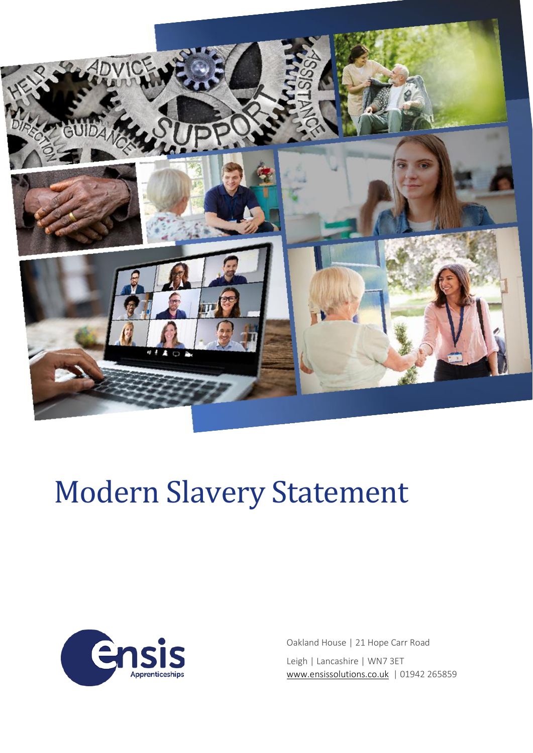

# Modern Slavery Statement



Oakland House | 21 Hope Carr Road Leigh | Lancashire | WN7 3ET [www.ensissolutions.co.uk](http://www.ensissolutions.co.uk/) | 01942 265859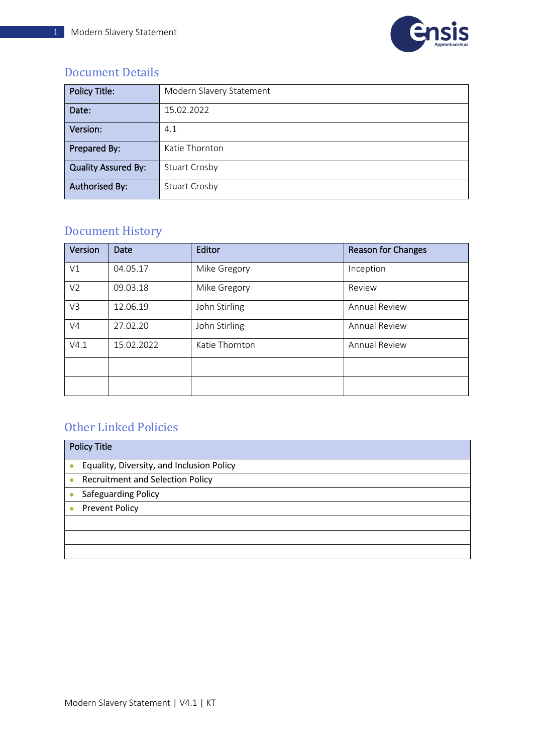

### Document Details

| <b>Policy Title:</b>       | Modern Slavery Statement |
|----------------------------|--------------------------|
| Date:                      | 15.02.2022               |
| Version:                   | 4.1                      |
| Prepared By:               | Katie Thornton           |
| <b>Quality Assured By:</b> | <b>Stuart Crosby</b>     |
| <b>Authorised By:</b>      | <b>Stuart Crosby</b>     |

# Document History

| Version        | Date       | Editor         | <b>Reason for Changes</b> |
|----------------|------------|----------------|---------------------------|
| V1             | 04.05.17   | Mike Gregory   | Inception                 |
| V <sub>2</sub> | 09.03.18   | Mike Gregory   | Review                    |
| V3             | 12.06.19   | John Stirling  | <b>Annual Review</b>      |
| V <sub>4</sub> | 27.02.20   | John Stirling  | <b>Annual Review</b>      |
| V4.1           | 15.02.2022 | Katie Thornton | <b>Annual Review</b>      |
|                |            |                |                           |
|                |            |                |                           |

## Other Linked Policies

| <b>Policy Title</b>                                    |  |
|--------------------------------------------------------|--|
| Equality, Diversity, and Inclusion Policy<br>$\bullet$ |  |
| <b>Recruitment and Selection Policy</b><br>$\bullet$   |  |
| Safeguarding Policy                                    |  |
| <b>Prevent Policy</b><br>$\bullet$                     |  |
|                                                        |  |
|                                                        |  |
|                                                        |  |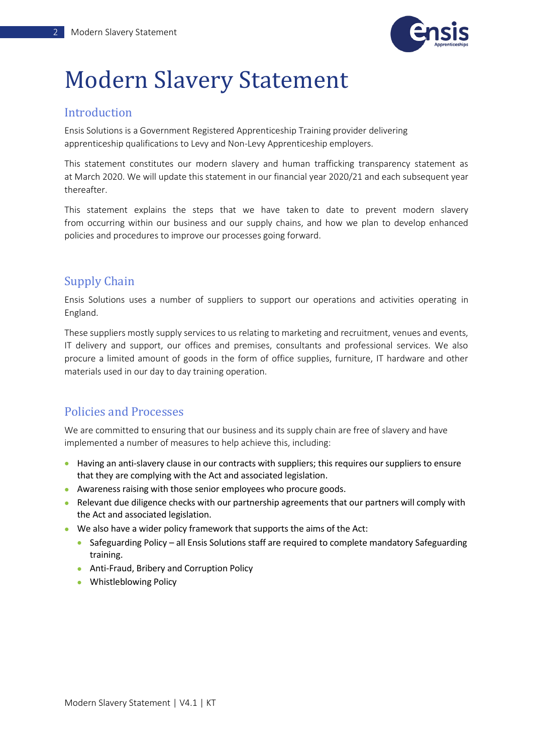

# Modern Slavery Statement

#### Introduction

Ensis Solutions is a Government Registered Apprenticeship Training provider delivering apprenticeship qualifications to Levy and Non-Levy Apprenticeship employers.

This statement constitutes our modern slavery and human trafficking transparency statement as at March 2020. We will update this statement in our financial year 2020/21 and each subsequent year thereafter.

This statement explains the steps that we have taken to date to prevent modern slavery from occurring within our business and our supply chains, and how we plan to develop enhanced policies and procedures to improve our processes going forward.

### Supply Chain

Ensis Solutions uses a number of suppliers to support our operations and activities operating in England.

These suppliers mostly supply services to us relating to marketing and recruitment, venues and events, IT delivery and support, our offices and premises, consultants and professional services. We also procure a limited amount of goods in the form of office supplies, furniture, IT hardware and other materials used in our day to day training operation.

### Policies and Processes

We are committed to ensuring that our business and its supply chain are free of slavery and have implemented a number of measures to help achieve this, including:

- Having an anti-slavery clause in our contracts with suppliers; this requires our suppliers to ensure that they are complying with the Act and associated legislation.
- Awareness raising with those senior employees who procure goods.
- Relevant due diligence checks with our partnership agreements that our partners will comply with the Act and associated legislation.
- We also have a wider policy framework that supports the aims of the Act:
	- Safeguarding Policy all Ensis Solutions staff are required to complete mandatory Safeguarding training.
	- Anti-Fraud, Bribery and Corruption Policy
	- Whistleblowing Policy